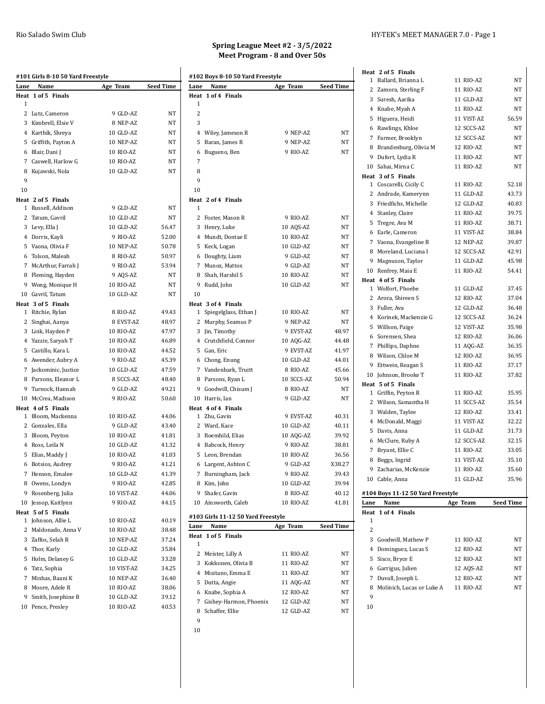|                | #101 Girls 8-10 50 Yard Freestyle     |                        |                |
|----------------|---------------------------------------|------------------------|----------------|
| Lane           | Name                                  | Age Team               | Seed Time      |
| 1              | Heat 1 of 5 Finals                    |                        |                |
|                | 2 Lutz, Cameron                       | 9 GLD-AZ               | NΤ             |
|                | 3 Kimbrell, Elsie V                   | 8 NEP-AZ               | NΤ             |
|                | 4 Karthik, Shreya                     | 10 GLD-AZ              | NΤ             |
|                | 5 Griffith, Payton A                  | 10 NEP-AZ              | NΤ             |
|                | 6 Blair, Dani J                       | 10 RIO-AZ              | NΤ             |
|                | 7 Caswell, Harlow G                   | 10 RIO-AZ              | NΤ             |
| 8              | Kujawski, Nola                        | 10 GLD-AZ              | NT             |
| 9              |                                       |                        |                |
| 10             |                                       |                        |                |
|                | Heat 2 of 5 Finals                    |                        |                |
| 1              | Russell, Addison                      | 9 GLD-AZ               | NΤ             |
| 2              | Tatum, Gavril                         | 10 GLD-AZ              | NΤ             |
|                | 3 Levy, Ella J                        | 10 GLD-AZ              | 56.47          |
|                | 4 Dorris, Kayli                       | 9 RIO-AZ               | 52.00          |
|                | 5 Vaona, Olivia F                     | 10 NEP-AZ              | 50.78          |
|                | 6 Tolson, Maleah                      | 8 RIO-AZ               | 50.97          |
|                | 7 McArthur, Farrah J                  | 9 RIO-AZ               | 53.94          |
|                | 8 Fleming, Hayden                     | 9 AQS-AZ               | NΤ             |
|                | 9 Wong, Monique H                     | 10 RIO-AZ              | NΤ             |
|                | 10 Gavril, Tatum                      | 10 GLD-AZ              | NT             |
|                | Heat 3 of 5 Finals                    |                        |                |
| 1              | Ritchie, Rylan                        | 8 RIO-AZ               | 49.43          |
|                | 2 Singhai, Aanya                      | 8 EVST-AZ              | 48.97          |
|                | 3 Link, Hayden P                      | 10 RIO-AZ              | 47.97          |
|                | 4 Yazzie, Saryah T                    | 10 RIO-AZ              | 46.89          |
|                | 5 Castillo, Kara L                    | 10 RIO-AZ              | 44.52          |
|                | 6 Awender, Aubry A                    | 9 RIO-AZ               | 45.39          |
|                | 7 Jackominic, Justice                 | 10 GLD-AZ              | 47.59          |
| 8              | Parsons, Eleanor L                    | 8 SCCS-AZ              | 48.40          |
|                | 9 Turnock, Hannah                     | 9 GLD-AZ               | 49.21          |
|                | 10 McCrea, Madison                    | 9 RIO-AZ               | 50.60          |
|                | Heat 4 of 5 Finals                    |                        |                |
| 1              | Bloom, Mackenna                       | 10 RIO-AZ              | 44.06          |
|                | 2 Gonzales, Ella                      | 9 GLD-AZ               | 43.40          |
|                | 3 Bloom, Peyton                       | 10 RIO-AZ              | 41.81          |
|                | 4 Ross, Leila N<br>5 Elias, Maddy J   | 10 GLD-AZ<br>10 RIO-AZ | 41.32<br>41.03 |
|                |                                       | 9 RIO-AZ               | 41.21          |
|                | 6 Botsios, Audrey<br>7 Henson, Emalee | 10 GLD-AZ              |                |
|                |                                       | 9 RIO-AZ               | 41.39<br>42.85 |
| 9              | 8 Owens, Londyn<br>Rosenberg, Julia   | 10 VIST-AZ             |                |
|                | 10 Jessop, Kaitlynn                   | 9 RIO-AZ               | 44.06<br>44.15 |
|                | Heat 5 of 5 Finals                    |                        |                |
| $\mathbf{1}$   | Johnson, Allie L                      | 10 RIO-AZ              | 40.19          |
|                | 2 Maldonado, Anna V                   | 10 RIO-AZ              | 38.48          |
|                | 3 Zaffos, Selah R                     | 10 NEP-AZ              | 37.24          |
| $\overline{4}$ | Thor, Karly                           | 10 GLD-AZ              | 35.84          |
| 5              | Holm, Delaney G                       | 10 GLD-AZ              | 33.28          |
|                | 6 Tatz, Sophia                        | 10 VIST-AZ             | 34.25          |
|                | 7 Minhas, Baani K                     | 10 NEP-AZ              | 36.40          |
| 8              | Moore, Adele R                        | 10 RIO-AZ              | 38.06          |
| 9              | Smith, Josephine B                    | 10 GLD-AZ              | 39.12          |
| 10             | Pence, Presley                        | 10 RIO-AZ              | 40.53          |
|                |                                       |                        |                |

# **Spring League Meet #2 - 3/5/2022 Meet Program - 8 and Over 50s**

| Lane              | Name                                        | Age Team               | <b>Seed Time</b>        |
|-------------------|---------------------------------------------|------------------------|-------------------------|
|                   | Heat 1 of 4 Finals                          |                        |                         |
| 1                 |                                             |                        |                         |
| $\overline{c}$    |                                             |                        |                         |
| 3                 |                                             |                        |                         |
| 4                 | Wiley, Jameson R                            | 9 NEP-AZ               | NΤ                      |
| 5                 | Baran, James R                              | 9 NEP-AZ               | NT                      |
| 6<br>7            | Bugueno, Ben                                | 9 RIO-AZ               | NΤ                      |
|                   |                                             |                        |                         |
| 8<br>9            |                                             |                        |                         |
| 10                |                                             |                        |                         |
|                   | Heat 2 of 4 Finals                          |                        |                         |
| 1                 |                                             |                        |                         |
| $\overline{c}$    | Foster, Mason R                             | 9 RIO-AZ               | NT                      |
| 3                 | Henry, Luke                                 | 10 AQS-AZ              | NT                      |
| 4                 | Mundt, Dontae E                             | 10 RIO-AZ              | NT                      |
| 5                 | Keck, Logan                                 | 10 GLD-AZ              | NT                      |
|                   | 6 Doughty, Liam                             | 9 GLD-AZ               | NΤ                      |
|                   | 7 Munoz, Mattox                             | 9 GLD-AZ               | NΤ                      |
| 8                 | Shah, Harshil S                             | 10 RIO-AZ              | NΤ                      |
| 9                 | Rudd, John                                  | 10 GLD-AZ              | NT                      |
| 10                |                                             |                        |                         |
|                   | Heat 3 of 4 Finals                          |                        |                         |
| 1                 | Spiegelglass, Ethan J                       | 10 RIO-AZ              | NΤ                      |
| 2                 | Murphy, Seamus P                            | 9 NEP-AZ               | NΤ                      |
|                   | 3 Jin, Timothy                              | 9 EVST-AZ              | 48.97                   |
|                   | 4 Crutchfield, Connor                       | 10 AQG-AZ              | 44.48                   |
|                   | 5 Gan, Eric                                 | 9 EVST-AZ              | 41.97                   |
|                   | 6 Chong, Enung                              | 10 GLD-AZ              | 44.01                   |
|                   | 7 Vandenbark, Truitt                        | 8 RIO-AZ               | 45.66                   |
|                   | 8 Parsons, Ryan L                           | 10 SCCS-AZ             | 50.94                   |
|                   | 9 Goodwill, Chisum J                        | 8 RIO-AZ               | NT                      |
|                   | 10 Harris, Ian                              | 9 GLD-AZ               | NΤ                      |
|                   | Heat 4 of 4 Finals<br>1 Zhu, Gavin          | 9 EVST-AZ              | 40.31                   |
|                   | 2 Ward, Kace                                | 10 GLD-AZ              | 40.11                   |
| 3                 | Roemhild, Elias                             | 10 AQG-AZ              | 39.92                   |
| 4                 | Babcock, Henry                              | 9 RIO-AZ               | 38.81                   |
| 5                 | Leon, Brendan                               | <b>10 RIO-AZ</b>       | 36.56                   |
| 6                 | Largent, Ashton C                           | 9 GLD-AZ               | X38.27                  |
| 7                 | Burningham, Jack                            | 9 RIO-AZ               | 39.43                   |
|                   |                                             |                        |                         |
| 8                 | Kim, John                                   | 10 GLD-AZ              |                         |
| 9                 | Shafer, Gavin                               | 8 RIO-AZ               |                         |
|                   | 10 Ainsworth, Caleb                         | 10 RIO-AZ              |                         |
|                   |                                             |                        | 39.94<br>40.12<br>41.81 |
|                   | #103 Girls 11-12 50 Yard Freestyle<br>Name  |                        |                         |
|                   | 1 of 5 Finals                               | Age Team               |                         |
| 1                 |                                             |                        |                         |
| Lane<br>Heat<br>2 | Meister, Lilly A                            | 11 RIO-AZ              | <b>Seed Time</b><br>NΤ  |
| 3                 | Kokkonen, Olivia B                          | 11 RIO-AZ              |                         |
| 4                 | Misitano, Emma E                            | 11 RIO-AZ              | NΤ<br>NT                |
| 5                 | Dutta, Angie                                | 11 AQG-AZ              | NΤ                      |
| 6                 | Knabe, Sophia A                             | 12 RIO-AZ              | NΤ                      |
| 8                 | 7 Gishey-Harmon, Phoenix<br>Schaffer, Ellie | 12 GLD-AZ<br>12 GLD-AZ | NΤ<br>NΤ                |

| Heat 2 of 5 Finals                        |            |                  |
|-------------------------------------------|------------|------------------|
| 1 Ballard, Brianna L                      | 11 RIO-AZ  | NT               |
| 2 Zamora, Sterling F                      | 11 RIO-AZ  | NT               |
| 3 Suresh, Aarika                          | 11 GLD-AZ  | NT               |
| 4 Knabe, Myah A                           | 11 RIO-AZ  | NT               |
| 5 Higuera, Heidi                          | 11 VIST-AZ | 56.59            |
| 6 Rawlings, Khloe                         | 12 SCCS-AZ | NT               |
| 7 Farmer, Brooklyn                        | 12 SCCS-AZ | NT               |
| 8 Brandenburg, Olivia M                   | 12 RIO-AZ  | NT               |
| 9 Dufort, Lydia R                         | 11 RIO-AZ  | NΤ               |
| 10 Sahai, Mirna C                         | 11 RIO-AZ  | NT               |
| Heat 3 of 5 Finals                        |            |                  |
| 1 Coscarelli, Cicily C                    | 11 RIO-AZ  | 52.18            |
| 2 Andrade, Kamerynn                       | 11 GLD-AZ  | 43.73            |
| 3 Friedfichs, Michelle                    | 12 GLD-AZ  | 40.83            |
| 4 Stanley, Claire                         | 11 RIO-AZ  | 39.75            |
| 5 Tregre, Ava M                           | 11 RIO-AZ  | 38.71            |
| 6 Earle, Cameron                          | 11 VIST-AZ | 38.84            |
| 7 Vaona, Evangeline B                     | 12 NEP-AZ  | 39.87            |
| 8 Moreland, Luciana I                     | 12 SCCS-AZ | 42.91            |
| 9 Magnuson, Taylor                        | 11 GLD-AZ  | 45.98            |
| 10 Renfrey, Maia E                        | 11 RIO-AZ  | 54.41            |
| Heat 4 of 5 Finals                        |            |                  |
| 1 Wolfort, Phoebe                         | 11 GLD-AZ  | 37.45            |
| 2 Arora, Shireen S                        | 12 RIO-AZ  | 37.04            |
| 3 Fuller, Ava                             | 12 GLD-AZ  | 36.48            |
| 4 Korinek, Mackenzie G                    | 12 SCCS-AZ | 36.24            |
| 5 Willson, Paige                          | 12 VIST-AZ | 35.98            |
| 6 Sorensen, Shea                          | 12 RIO-AZ  | 36.06            |
| 7 Phillips, Daphne                        | 11 AQG-AZ  | 36.35            |
| 8 Wilson, Chloe M                         | 12 RIO-AZ  | 36.95            |
| 9 Ettwein, Reagan S                       | 11 RIO-AZ  | 37.17            |
| 10 Johnson, Brooke T                      | 11 RIO-AZ  | 37.82            |
| Heat 5 of 5 Finals<br>1 Griffin, Peyton R | 11 RIO-AZ  | 35.95            |
| 2 Wilson, Samantha H                      | 11 SCCS-AZ | 35.54            |
|                                           | 12 RIO-AZ  |                  |
| 3 Walden, Taylee                          | 11 VIST-AZ | 33.41<br>32.22   |
| 4 McDonald, Maggi<br>5 Davis, Anna        | 11 GLD-AZ  | 31.73            |
| 6 McClure, Ruby A                         | 12 SCCS-AZ | 32.15            |
|                                           | 11 RIO-AZ  |                  |
| 7 Bryant, Ellie C                         |            | 33.05            |
| 8 Beggs, Ingrid                           | 11 VIST-AZ | 35.10            |
| 9 Zacharias, McKenzie                     | 11 RIO-AZ  | 35.60            |
| 10 Cable, Anna                            | 11 GLD-AZ  | 35.96            |
| #104 Boys 11-12 50 Yard Freestyle         |            |                  |
| Lane<br>Name                              | Age Team   | <b>Seed Time</b> |
| Heat 1 of 4 Finals                        |            |                  |
| 1                                         |            |                  |
| 2                                         |            |                  |
| 3 Goodwill, Mathew P                      | 11 RIO-AZ  | NΤ               |
| 4 Dominguez, Lucas S                      | 12 RIO-AZ  | NΤ               |
| 5 Sisco, Bryce E                          | 12 RIO-AZ  | NT               |
| 6 Garrigus, Julien                        | 12 AQS-AZ  | NT               |
| 7 Duvall, Joseph L                        | 12 RIO-AZ  | NΤ               |
| 8 Molinich, Lucas or Luke A               | 11 RIO-AZ  | NT               |
| 9                                         |            |                  |
| 10                                        |            |                  |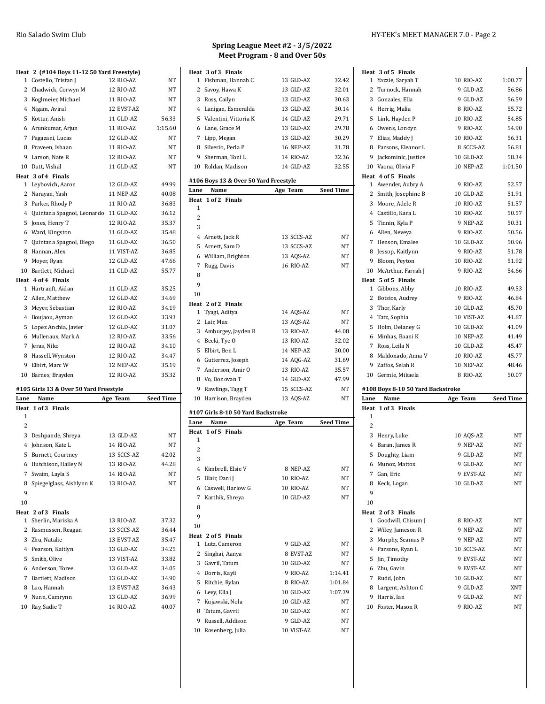|              | Heat 2 (#104 Boys 11-12 50 Yard Freestyle) |            |           |
|--------------|--------------------------------------------|------------|-----------|
| $\mathbf{1}$ | Costello, Tristan J                        | 12 RIO-AZ  | NT        |
|              | 2 Chadwick, Corwyn M                       | 12 RIO-AZ  | NT        |
|              | 3 Koglmeier, Michael                       | 11 RIO-AZ  | <b>NT</b> |
|              | 4 Nigam, Aviral                            | 12 EVST-AZ | NT        |
|              | 5 Kottur, Anish                            | 11 GLD-AZ  | 56.33     |
|              | 6 Arunkumar, Arjun                         | 11 RIO-AZ  | 1:15.60   |
|              | 7 Pagazani, Lucas                          | 12 GLD-AZ  | NT        |
|              | 8 Praveen, Ishaan                          | 11 RIO-AZ  | NT        |
| 9            | Larson, Nate R                             | 12 RIO-AZ  | NT        |
|              | 10 Dutt, Vishal                            | 11 GLD-AZ  | <b>NT</b> |
|              | Heat 3 of 4 Finals                         |            |           |
|              | 1 Leybovich, Aaron                         | 12 GLD-AZ  | 49.99     |
|              | 2 Narayan, Yash                            | 11 NEP-AZ  | 40.08     |
|              | 3 Parker, Rhody P                          | 11 RIO-AZ  | 36.83     |
|              | 4 Quintana Spagnol, Leonardo               | 11 GLD-AZ  | 36.12     |
|              | 5 Jones, Henry T                           | 12 RIO-AZ  | 35.37     |
|              | 6 Ward, Kingston                           | 11 GLD-AZ  | 35.48     |
|              | 7 Quintana Spagnol, Diego                  | 11 GLD-AZ  | 36.50     |
|              | 8 Hannan, Alex                             | 11 VIST-AZ | 36.85     |
| 9            | Moyer, Ryan                                | 12 GLD-AZ  | 47.66     |
|              | 10 Bartlett. Michael                       | 11 GLD-AZ  | 55.77     |
|              | Heat 4 of 4 Finals                         |            |           |
|              | 1 Hartranft, Aidan                         | 11 GLD-AZ  | 35.25     |
|              | 2 Allen, Matthew                           | 12 GLD-AZ  | 34.69     |
|              | 3 Meyer, Sebastian                         | 12 RIO-AZ  | 34.19     |
|              | 4 Boujaou, Ayman                           | 12 GLD-AZ  | 33.93     |
|              | 5 Lopez Anchia, Javier                     | 12 GLD-AZ  | 31.07     |
|              | 6 Mullenaux. Mark A                        | 12 RIO-AZ  | 33.56     |
|              | 7 Jeras, Niko                              | 12 RIO-AZ  | 34.10     |
|              | 8 Hassell, Wynston                         | 12 RIO-AZ  | 34.47     |
|              | 9 Elbirt, Marc W                           | 12 NEP-AZ  | 35.19     |
| 10           | Barnes, Brayden                            | 12 RIO-AZ  | 35.32     |

#### **#105 Girls 13 & Over 50 Yard Freestyle**

| Lane           | Name                     | Age Team   | <b>Seed Time</b> |
|----------------|--------------------------|------------|------------------|
|                | Heat 1 of 3 Finals       |            |                  |
| 1              |                          |            |                  |
| $\overline{c}$ |                          |            |                  |
| 3              | Deshpande, Shreya        | 13 GLD-AZ  | NT               |
| 4              | Johnson, Kate L          | 14 RIO-AZ  | NT               |
| 5              | Burnett, Courtney        | 13 SCCS-AZ | 42.02            |
| 6              | Hutchison, Hailey N      | 13 RIO-AZ  | 44.28            |
| 7              | Swaim, Layla S           | 14 RIO-AZ  | NT               |
| 8              | Spiegelglass, Aishlynn K | 13 RIO-AZ  | <b>NT</b>        |
| 9              |                          |            |                  |
| 10             |                          |            |                  |
|                | Heat 2 of 3 Finals       |            |                  |
| $\mathbf{1}$   | Sherlin, Mariska A       | 13 RIO-AZ  | 37.32            |
| 2              | Rasmussen, Reagan        | 13 SCCS-AZ | 36.44            |
|                | 3 Zhu, Natalie           | 13 EVST-AZ | 35.47            |
| 4              | Pearson, Kaitlyn         | 13 GLD-AZ  | 34.25            |
| 5              | Smith, Olive             | 13 VIST-AZ | 33.82            |
|                | 6 Anderson, Toree        | 13 GLD-AZ  | 34.05            |
| 7              | Bartlett, Madison        | 13 GLD-AZ  | 34.90            |
|                | 8 Luo, Hannah            | 13 EVST-AZ | 36.43            |
| 9              | Nunn, Camrynn            | 13 GLD-AZ  | 36.99            |
| 10             | Ray, Sadie T             | 14 RIO-AZ  | 40.07            |

# **Spring League Meet #2 - 3/5/2022 Meet Program - 8 and Over 50s**

|                | Heat 3 of 3 Finals                    |            |                  |
|----------------|---------------------------------------|------------|------------------|
| 1              | Fishman, Hannah C                     | 13 GLD-AZ  | 32.42            |
|                | 2 Savoy, Hawa K                       | 13 GLD-AZ  | 32.01            |
|                | 3 Ross, Cailyn                        | 13 GLD-AZ  | 30.63            |
|                | 4 Lanigan, Esmeralda                  | 13 GLD-AZ  | 30.14            |
|                | 5 Valentini, Vittoria K               | 14 GLD-AZ  | 29.71            |
|                | 6 Lane, Grace M                       | 13 GLD-AZ  | 29.78            |
|                | 7 Lipp, Megan                         | 13 GLD-AZ  | 30.29            |
|                | 8 Silverio, Perla P                   | 16 NEP-AZ  | 31.78            |
|                | 9 Sherman, Toni L                     | 14 RIO-AZ  | 32.36            |
|                | 10 Roldan, Madison                    | 14 GLD-AZ  | 32.55            |
|                | #106 Boys 13 & Over 50 Yard Freestyle |            |                  |
| Lane           | Name                                  | Age Team   | <b>Seed Time</b> |
|                | Heat 1 of 2 Finals                    |            |                  |
| 1              |                                       |            |                  |
| $\overline{2}$ |                                       |            |                  |
| 3              |                                       |            |                  |
|                | 4 Arnett, Jack R                      | 13 SCCS-AZ | NT               |
| 5              | Arnett, Sam D                         | 13 SCCS-AZ | NT               |
|                | 6 William, Brighton                   | 13 AQS-AZ  | NT               |
| 7              | Rugg, Davis                           | 16 RIO-AZ  | NΤ               |
| 8              |                                       |            |                  |
| 9              |                                       |            |                  |
| 10             |                                       |            |                  |
|                | Heat 2 of 2 Finals                    |            |                  |
| 1              | Tyagi, Aditya                         | 14 AQS-AZ  | NT               |
|                | 2 Lair, Max                           | 13 AQS-AZ  | NT               |
|                | 3 Amburgey, Jayden R                  | 13 RIO-AZ  | 44.08            |
|                | 4 Becki, Tye O                        | 13 RIO-AZ  | 32.02            |
|                | 5 Elbirt, Ben L                       | 14 NEP-AZ  | 30.00            |
|                | 6 Gutierrez, Joseph                   | 14 AQG-AZ  | 31.69            |
|                | 7 Anderson, Amir O                    | 13 RIO-AZ  | 35.57            |
|                | 8 Vo, Donovan T                       | 14 GLD-AZ  | 47.99            |
|                | 9 Rawlings, Tagg T                    | 15 SCCS-AZ | NT               |
|                | 10 Harrison, Brayden                  | 13 AQS-AZ  | NT               |
|                | #107 Girls 8-10 50 Yard Backstroke    |            |                  |
| Lane           | Name                                  | Age Team   | <b>Seed Time</b> |
| Heat           | 1 of 5 Finals                         |            |                  |
| 1              |                                       |            |                  |
| 2              |                                       |            |                  |
| 3              |                                       |            |                  |
|                | 4 Kimbrell, Elsie V                   | 8 NEP-AZ   | NΤ               |
|                | 5 Blair, Dani J                       | 10 RIO-AZ  | NΤ               |
|                | 6 Caswell, Harlow G                   | 10 RIO-AZ  | NT               |
|                | 7 Karthik, Shreya                     | 10 GLD-AZ  | NΤ               |
| 8              |                                       |            |                  |
| $\Omega$       |                                       |            |                  |

|    | Kai ulik, Jili Eya | TA ATA-W          | 14 L    |
|----|--------------------|-------------------|---------|
| 8  |                    |                   |         |
| 9  |                    |                   |         |
| 10 |                    |                   |         |
|    | Heat 2 of 5 Finals |                   |         |
|    | 1 Lutz, Cameron    | 9 GLD-AZ          | NT      |
|    | 2 Singhai, Aanya   | 8 EVST-AZ         | NT      |
|    | 3 Gavril, Tatum    | 10 GLD-AZ         | NT      |
| 4  | Dorris, Kayli      | 9 RIO-AZ          | 1:14.41 |
| 5. | Ritchie, Rylan     | 8 RIO-AZ          | 1.01.84 |
|    | 6 Levy, Ella J     | 10 GLD-AZ         | 1:07.39 |
| 7  | Kujawski, Nola     | 10 GLD-AZ         | NT      |
| 8  | Tatum, Gavril      | 10 GLD-AZ         | NT      |
| 9  | Russell, Addison   | 9 GLD-AZ          | NT      |
| 10 | Rosenberg, Julia   | <b>10 VIST-AZ</b> | NT      |

| Heat 3 of 5 Finals                 |            |                  |
|------------------------------------|------------|------------------|
| 1 Yazzie, Saryah T                 | 10 RIO-AZ  | 1:00.77          |
| 2 Turnock, Hannah                  | 9 GLD-AZ   | 56.86            |
| 3 Gonzales, Ella                   | 9 GLD-AZ   | 56.59            |
| 4 Herrig, Malia                    | 8 RIO-AZ   | 55.72            |
| 5 Link, Hayden P                   | 10 RIO-AZ  | 54.85            |
| 6 Owens, Londyn                    | 9 RIO-AZ   | 54.90            |
| 7 Elias, Maddy J                   | 10 RIO-AZ  | 56.31            |
| 8 Parsons, Eleanor L               | 8 SCCS-AZ  | 56.81            |
| 9 Jackominic, Justice              | 10 GLD-AZ  | 58.34            |
| 10 Vaona, Olivia F                 | 10 NEP-AZ  | 1:01.50          |
| Heat 4 of 5 Finals                 |            |                  |
| 1 Awender, Aubry A                 | 9 RIO-AZ   | 52.57            |
| 2 Smith, Josephine B               | 10 GLD-AZ  | 51.91            |
| 3 Moore, Adele R                   | 10 RIO-AZ  | 51.57            |
| 4 Castillo, Kara L                 | 10 RIO-AZ  | 50.57            |
| 5 Tinnin, Kyla P                   | 9 NEP-AZ   | 50.31            |
| 6 Allen, Neveya                    | 9 RIO-AZ   | 50.56            |
| 7 Henson, Emalee                   | 10 GLD-AZ  | 50.96            |
| 8 Jessop, Kaitlynn                 | 9 RIO-AZ   | 51.78            |
| 9 Bloom, Peyton                    | 10 RIO-AZ  | 51.92            |
| 10 McArthur, Farrah J              | 9 RIO-AZ   | 54.66            |
| Heat 5 of 5 Finals                 |            |                  |
| 1 Gibbons, Abby                    | 10 RIO-AZ  | 49.53            |
| 2 Botsios, Audrey                  | 9 RIO-AZ   | 46.84            |
| 3 Thor, Karly                      | 10 GLD-AZ  | 45.70            |
| 4 Tatz, Sophia                     | 10 VIST-AZ | 41.87            |
| 5 Holm, Delaney G                  | 10 GLD-AZ  | 41.09            |
| 6 Minhas, Baani K                  | 10 NEP-AZ  | 41.49            |
| 7 Ross, Leila N                    | 10 GLD-AZ  | 45.47            |
|                                    |            |                  |
| 8 Maldonado, Anna V                | 10 RIO-AZ  | 45.77            |
| 9 Zaffos, Selah R                  | 10 NEP-AZ  | 48.46            |
| 10 Germie, Mikaela                 | 8 RIO-AZ   | 50.07            |
| #108 Boys 8-10 50 Yard Backstroke  |            |                  |
| Lane<br>Name                       | Age Team   | <b>Seed Time</b> |
| Heat 1 of 3 Finals                 |            |                  |
| 1                                  |            |                  |
| 2                                  |            |                  |
| 3 Henry, Luke                      | 10 AQS-AZ  | NT               |
| 4 Baran, James R                   | 9 NEP-AZ   | NT               |
| 5 Doughty, Liam                    | 9 GLD-AZ   | NΤ               |
| 6 Munoz, Mattox                    | 9 GLD-AZ   | NΤ               |
| 7 Gan, Eric                        | 9 EVST-AZ  | NΤ               |
| 8 Keck, Logan                      | 10 GLD-AZ  | NΤ               |
| 9                                  |            |                  |
| 10                                 |            |                  |
| Heat 2 of 3 Finals                 |            |                  |
| Goodwill, Chisum J<br>$\mathbf{1}$ | 8 RIO-AZ   | NΤ               |
| 2 Wiley, Jameson R                 | 9 NEP-AZ   | NΤ               |
| 3 Murphy, Seamus P                 | 9 NEP-AZ   | NΤ               |
| 4 Parsons, Ryan L                  | 10 SCCS-AZ | NΤ               |
| 5 Jin, Timothy                     | 9 EVST-AZ  | NT               |
| 6 Zhu, Gavin                       | 9 EVST-AZ  | NΤ               |
| 7 Rudd, John                       | 10 GLD-AZ  | NΤ               |
| 8 Largent, Ashton C                | 9 GLD-AZ   | XNT              |
| 9 Harris, Ian                      | 9 GLD-AZ   | NΤ               |
| 10 Foster, Mason R                 | 9 RIO-AZ   | NΤ               |
|                                    |            |                  |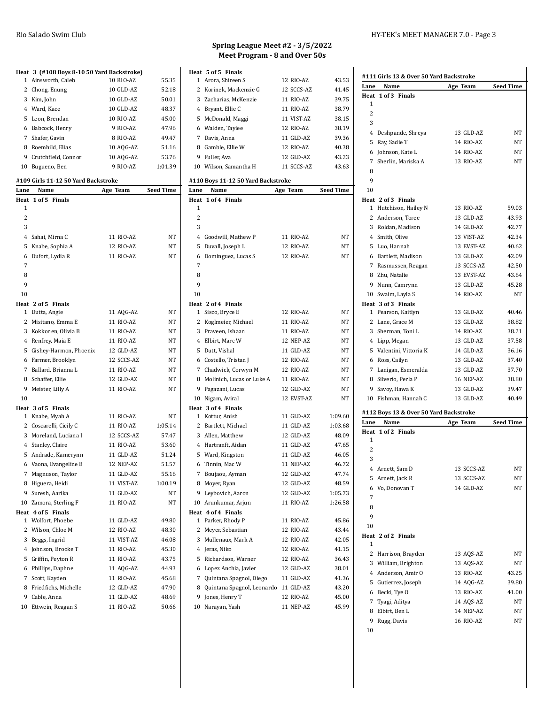### **Heat 3 (#108 Boys 8-10 50 Yard Backstroke)** Ainsworth, Caleb 10 RIO-AZ 55.35 Chong, Enung 10 GLD-AZ 52.18 Kim, John 10 GLD-AZ 50.01 Ward, Kace 10 GLD-AZ 48.37 Leon, Brendan 10 RIO-AZ 45.00 Babcock, Henry 9 RIO-AZ 47.96 Shafer, Gavin 8 RIO-AZ 49.47 Roemhild, Elias 10 AQG-AZ 51.16 Crutchfield, Connor 10 AQG-AZ 53.76 Bugueno, Ben 9 RIO-AZ 1:01.39 **#109 Girls 11-12 50 Yard Backstroke Lane Name Age Team Seed Time Heat 1 of 5 Finals** Sahai, Mirna C 11 RIO-AZ NT Knabe, Sophia A 12 RIO-AZ NT Dufort, Lydia R 11 RIO-AZ NT **Heat 2 of 5 Finals** Dutta, Angie 11 AQG-AZ NT 2 Misitano, Emma E 11 RIO-AZ NT 3 Kokkonen, Olivia B 11 RIO-AZ NT 4 Renfrey, Maia E 11 RIO-AZ NT Gishey-Harmon, Phoenix 12 GLD-AZ NT Farmer, Brooklyn 12 SCCS-AZ NT 7 Ballard, Brianna L 11 RIO-AZ NT 8 Schaffer, Ellie 12 GLD-AZ NT 9 Meister, Lilly A 11 RIO-AZ NT

| $\mathbf{1}$ | Knabe, Myah A          | 11 RIO-AZ  | NT      |
|--------------|------------------------|------------|---------|
|              | 2 Coscarelli, Cicily C | 11 RIO-AZ  | 1:05.14 |
|              | 3 Moreland, Luciana I  | 12 SCCS-AZ | 57.47   |
|              | 4 Stanley, Claire      | 11 RIO-AZ  | 53.60   |
|              | 5 Andrade, Kamerynn    | 11 GLD-AZ  | 51.24   |
|              | 6 Vaona, Evangeline B  | 12 NEP-AZ  | 51.57   |
|              | 7 Magnuson, Taylor     | 11 GLD-AZ  | 55.16   |
| 8            | Higuera, Heidi         | 11 VIST-AZ | 1:00.19 |
|              | 9 Suresh, Aarika       | 11 GLD-AZ  | NT      |
|              | 10 Zamora, Sterling F  | 11 RIO-AZ  | NT      |
|              | Heat 4 of 5 Finals     |            |         |
| $\mathbf{1}$ | Wolfort, Phoebe        | 11 GLD-AZ  | 49.80   |
|              | 2 Wilson, Chloe M      | 12 RIO-AZ  | 48.30   |
| 3            | Beggs, Ingrid          | 11 VIST-AZ | 46.08   |
| 4            | Johnson, Brooke T      | 11 RIO-AZ  | 45.30   |
| 5            | Griffin, Peyton R      | 11 RIO-AZ  | 43.75   |
| 6            | Phillips, Daphne       | 11 AQG-AZ  | 44.93   |
| 7            | Scott, Kayden          | 11 RIO-AZ  | 45.68   |
| 8            | Friedfichs, Michelle   | 12 GLD-AZ  | 47.90   |
| 9            | Cable, Anna            | 11 GLD-AZ  | 48.69   |

10 Ettwein, Reagan S 11 RIO-AZ 50.66

# **Spring League Meet #2 - 3/5/2022 Meet Program - 8 and Over 50s**

|      | Heat 5 of 5 Finals                 |            |           |
|------|------------------------------------|------------|-----------|
|      | 1 Arora, Shireen S                 | 12 RIO-AZ  | 43.53     |
|      | 2 Korinek, Mackenzie G             | 12 SCCS-AZ | 41.45     |
|      | 3 Zacharias, McKenzie              | 11 RIO-AZ  | 39.75     |
|      | 4 Bryant, Ellie C                  | 11 RIO-AZ  | 38.79     |
|      | 5 McDonald, Maggi                  | 11 VIST-AZ | 38.15     |
|      | 6 Walden, Taylee                   | 12 RIO-AZ  | 38.19     |
|      | 7 Davis, Anna                      | 11 GLD-AZ  | 39.36     |
|      | 8 Gamble, Ellie W                  | 12 RIO-AZ  | 40.38     |
|      | 9 Fuller, Ava                      | 12 GLD-AZ  | 43.23     |
|      | 10 Wilson, Samantha H              | 11 SCCS-AZ | 43.63     |
|      | #110 Boys 11-12 50 Yard Backstroke |            |           |
| Lane | Name                               | Age Team   | Seed Time |
| Heat | 1 of 4 Finals                      |            |           |
| 1    |                                    |            |           |
| 2    |                                    |            |           |
| 3    |                                    |            |           |
|      | 4 Goodwill, Mathew P               | 11 RIO-AZ  | NT        |
|      | 5 Duvall, Joseph L                 | 12 RIO-AZ  | <b>NT</b> |
|      | 6 Dominguez, Lucas S               | 12 RIO-AZ  | NT        |
| 7    |                                    |            |           |
| 8    |                                    |            |           |
| 9    |                                    |            |           |
| 10   |                                    |            |           |
|      | Heat 2 of 4 Finals                 |            |           |
|      | 1 Sisco, Bryce E                   | 12 RIO-AZ  | NT        |
|      | 2 Koglmeier, Michael               | 11 RIO-AZ  | NT        |
|      | 3 Praveen, Ishaan                  | 11 RIO-AZ  | NΤ        |
|      | 4 Elbirt, Marc W                   | 12 NEP-AZ  | NT        |
|      | 5 Dutt, Vishal                     | 11 GLD-AZ  | NΤ        |
|      | 6 Costello, Tristan J              | 12 RIO-AZ  | NΤ        |
|      | 7 Chadwick, Corwyn M               | 12 RIO-AZ  | NΤ        |
|      | 8 Molinich, Lucas or Luke A        | 11 RIO-AZ  | NΤ        |
|      | 9 Pagazani, Lucas                  | 12 GLD-AZ  | NΤ        |
|      | 10 Nigam, Aviral                   | 12 EVST-AZ | NΤ        |
|      | Heat 3 of 4 Finals                 |            |           |
|      | 1 Kottur, Anish                    | 11 GLD-AZ  | 1:09.60   |
|      | 2 Bartlett, Michael                | 11 GLD-AZ  | 1:03.68   |
|      | 3 Allen, Matthew                   | 12 GLD-AZ  | 48.09     |
|      | 4 Hartranft, Aidan                 | 11 GLD-AZ  | 47.65     |
|      | 5 Ward, Kingston                   | 11 GLD-AZ  | 46.05     |
|      | 6 Tinnin, Mac W                    | 11 NEP-AZ  | 46.72     |
| 7    | Boujaou, Ayman                     | 12 GLD-AZ  | 47.74     |
| 8    | Moyer, Ryan                        | 12 GLD-AZ  | 48.59     |
| 9    | Leybovich, Aaron                   | 12 GLD-AZ  | 1:05.73   |
| 10   | Arunkumar, Arjun                   | 11 RIO-AZ  | 1:26.58   |
|      | Heat 4 of 4 Finals                 |            |           |
| 1    | Parker, Rhody P                    | 11 RIO-AZ  | 45.86     |
|      | 2 Meyer, Sebastian                 | 12 RIO-AZ  | 43.44     |
|      | 3 Mullenaux, Mark A                | 12 RIO-AZ  | 42.05     |
|      | 4 Jeras, Niko                      | 12 RIO-AZ  | 41.15     |
| 5    | Richardson, Warner                 | 12 RIO-AZ  | 36.43     |
|      | 6 Lopez Anchia, Javier             | 12 GLD-AZ  | 38.01     |
| 7    | Quintana Spagnol, Diego            | 11 GLD-AZ  | 41.36     |
| 8    | Quintana Spagnol, Leonardo         | 11 GLD-AZ  | 43.20     |
|      |                                    | 12 RIO-AZ  |           |
| 9    | Jones, Henry T                     |            | 45.00     |
| 10   | Narayan, Yash                      | 11 NEP-AZ  | 45.99     |

#### Rio Salado Swim Club HY-TEK's MEET MANAGER 7.0 - Page 3

| Lane<br>Name                           | Age Team   | <b>Seed Time</b> |
|----------------------------------------|------------|------------------|
| Heat 1 of 3 Finals                     |            |                  |
| 1                                      |            |                  |
| 2                                      |            |                  |
| 3                                      |            |                  |
| 4 Deshpande, Shreya                    | 13 GLD-AZ  | NT               |
| 5 Ray, Sadie T                         | 14 RIO-AZ  | NΤ               |
| 6 Johnson, Kate L                      | 14 RIO-AZ  | NΤ               |
| 7 Sherlin, Mariska A                   | 13 RIO-AZ  | NT               |
| 8                                      |            |                  |
| 9                                      |            |                  |
| 10                                     |            |                  |
| Heat 2 of 3 Finals                     |            |                  |
| 1 Hutchison, Hailey N                  | 13 RIO-AZ  | 59.03            |
| 2 Anderson, Toree                      | 13 GLD-AZ  | 43.93            |
| 3 Roldan, Madison                      | 14 GLD-AZ  | 42.77            |
| 4 Smith, Olive                         | 13 VIST-AZ | 42.34            |
| 5 Luo, Hannah                          | 13 EVST-AZ | 40.62            |
| 6 Bartlett, Madison                    | 13 GLD-AZ  | 42.09            |
| 7 Rasmussen, Reagan                    | 13 SCCS-AZ | 42.50            |
| 8 Zhu, Natalie                         | 13 EVST-AZ | 43.64            |
| 9 Nunn, Camrynn                        | 13 GLD-AZ  | 45.28            |
| 10 Swaim, Layla S                      | 14 RIO-AZ  | NT               |
| Heat 3 of 3 Finals                     |            |                  |
| 1 Pearson, Kaitlyn                     | 13 GLD-AZ  | 40.46            |
| 2 Lane, Grace M                        | 13 GLD-AZ  | 38.82            |
| 3 Sherman, Toni L                      | 14 RIO-AZ  | 38.21            |
| 4 Lipp, Megan                          | 13 GLD-AZ  | 37.58            |
| 5 Valentini, Vittoria K                | 14 GLD-AZ  | 36.16            |
| 6 Ross, Cailyn                         | 13 GLD-AZ  | 37.40            |
| 7 Lanigan, Esmeralda                   | 13 GLD-AZ  | 37.70            |
| 8 Silverio, Perla P                    | 16 NEP-AZ  | 38.80            |
| 9 Savoy, Hawa K                        | 13 GLD-AZ  | 39.47            |
| 10 Fishman, Hannah C                   | 13 GLD-AZ  | 40.49            |
| #112 Boys 13 & Over 50 Yard Backstroke |            |                  |
| Name<br>Lane                           | Age Team   | <b>Seed Time</b> |
| Heat 1 of 2 Finals                     |            |                  |
| 1                                      |            |                  |
| 2                                      |            |                  |
| 3                                      |            |                  |
| 4 Arnett, Sam D                        | 13 SCCS-AZ | NΤ               |
| 5 Arnett, Jack R                       | 13 SCCS-AZ | NΤ               |
| 6 Vo, Donovan T                        | 14 GLD-AZ  | NΤ               |
| 7                                      |            |                  |
| 8                                      |            |                  |
| 9                                      |            |                  |
| 10                                     |            |                  |
| Heat 2 of 2 Finals                     |            |                  |
| 1                                      |            |                  |
| 2 Harrison, Brayden                    | 13 AQS-AZ  | NΤ               |
| 3 William, Brighton                    | 13 AQS-AZ  | NΤ               |
| 4 Anderson, Amir O                     | 13 RIO-AZ  | 43.25            |
| 5 Gutierrez, Joseph                    | 14 AQG-AZ  | 39.80            |
| 6 Becki, Tye O                         | 13 RIO-AZ  | 41.00            |
| 7 Tyagi, Aditya                        | 14 AQS-AZ  | NΤ               |
|                                        |            |                  |
| 8 Elbirt, Ben L                        | 14 NEP-AZ  | NΤ               |
| 9<br>Rugg, Davis                       | 16 RIO-AZ  | NΤ               |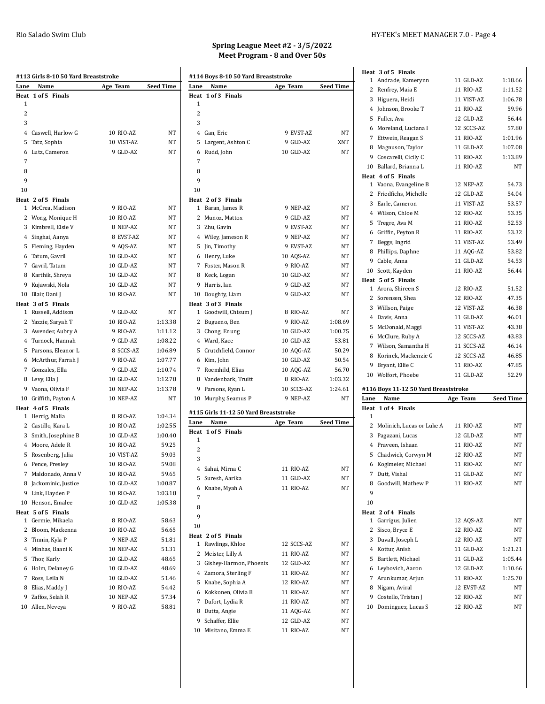| Lane           | Name                                 | Age Team               | Seed Time |
|----------------|--------------------------------------|------------------------|-----------|
| Heat           | 1 of 5 Finals                        |                        |           |
| 1              |                                      |                        |           |
| $\overline{c}$ |                                      |                        |           |
| 3              |                                      |                        |           |
|                | 4 Caswell, Harlow G                  | 10 RIO-AZ              | NT        |
|                | 5 Tatz, Sophia                       | 10 VIST-AZ             | ΝT        |
| 6              | Lutz, Cameron                        | 9 GLD-AZ               | NT        |
| 7              |                                      |                        |           |
| 8              |                                      |                        |           |
| 9              |                                      |                        |           |
| 10             |                                      |                        |           |
|                | Heat 2 of 5 Finals                   |                        |           |
|                | 1 McCrea, Madison                    | 9 RIO-AZ               | NT        |
|                | 2 Wong, Monique H                    | 10 RIO-AZ              | NT        |
|                | 3 Kimbrell, Elsie V                  | 8 NEP-AZ               | NT        |
|                | 4 Singhai, Aanya                     | 8 EVST-AZ              | NT        |
|                | 5 Fleming, Hayden                    | 9 AQS-AZ               | <b>NT</b> |
|                | 6 Tatum, Gavril                      | 10 GLD-AZ              | NT        |
|                | 7 Gavril, Tatum<br>8 Karthik, Shreya | 10 GLD-AZ              | NT        |
| 9              | Kujawski, Nola                       | 10 GLD-AZ<br>10 GLD-AZ | NT<br>NT  |
|                | 10 Blair, Dani J                     | 10 RIO-AZ              | NT        |
|                | Heat 3 of 5 Finals                   |                        |           |
|                | 1 Russell, Addison                   | 9 GLD-AZ               | NT        |
|                | 2 Yazzie, Saryah T                   | 10 RIO-AZ              | 1:13.38   |
|                | 3 Awender, Aubry A                   | 9 RIO-AZ               | 1:11.12   |
|                | 4 Turnock, Hannah                    | 9 GLD-AZ               | 1:08.22   |
|                | 5 Parsons, Eleanor L                 | 8 SCCS-AZ              | 1:06.89   |
|                | 6 McArthur, Farrah J                 | 9 RIO-AZ               | 1:07.77   |
|                | 7 Gonzales, Ella                     | 9 GLD-AZ               | 1:10.74   |
|                | 8 Levy, Ella J                       | 10 GLD-AZ              | 1:12.78   |
|                | 9 Vaona, Olivia F                    | 10 NEP-AZ              | 1:13.78   |
|                | 10 Griffith, Payton A                | 10 NEP-AZ              | NT        |
|                | Heat 4 of 5 Finals                   |                        |           |
|                | 1 Herrig, Malia                      | 8 RIO-AZ               | 1:04.34   |
|                | 2 Castillo, Kara L                   | 10 RIO-AZ              | 1:02.55   |
|                | 3 Smith, Josephine B                 | 10 GLD-AZ              | 1:00.40   |
|                | 4 Moore, Adele R                     | 10 RIO-AZ              | 59.25     |
|                | 5 Rosenberg, Julia                   | 10 VIST-AZ             | 59.03     |
|                | 6 Pence, Presley                     | 10 RIO-AZ              | 59.08     |
|                | 7 Maldonado, Anna V                  | 10 RIO-AZ              | 59.65     |
|                | 8 Jackominic, Justice                | 10 GLD-AZ              | 1:00.87   |
|                | 9 Link, Hayden P                     | 10 RIO-AZ              | 1:03.18   |
|                | 10 Henson, Emalee                    | 10 GLD-AZ              | 1:05.38   |
|                | Heat 5 of 5 Finals                   |                        |           |
|                | 1 Germie, Mikaela                    | 8 RIO-AZ               | 58.63     |
|                | 2 Bloom, Mackenna                    | 10 RIO-AZ              | 56.65     |
|                | 3 Tinnin, Kyla P                     | 9 NEP-AZ               | 51.81     |
|                | 4 Minhas, Baani K                    | 10 NEP-AZ              | 51.31     |
|                | 5 Thor, Karly                        | 10 GLD-AZ              | 48.65     |
|                | 6 Holm, Delaney G                    | 10 GLD-AZ              | 48.69     |
|                | 7 Ross, Leila N                      | 10 GLD-AZ              | 51.46     |
|                | 8 Elias, Maddy J                     | 10 RIO-AZ              | 54.42     |
| 9              | Zaffos, Selah R                      | 10 NEP-AZ              | 57.34     |
|                | 10 Allen, Neveya                     | 9 RIO-AZ               | 58.81     |

# **Spring League Meet #2 - 3/5/2022 Meet Program - 8 and Over 50s**

|              | #114 Boys 8-10 50 Yard Breaststroke   |            |                  |
|--------------|---------------------------------------|------------|------------------|
| Lane         | Name                                  | Age Team   | Seed Time        |
| Heat         | 1 of 3 Finals                         |            |                  |
| 1            |                                       |            |                  |
| 2            |                                       |            |                  |
| 3            |                                       |            |                  |
|              | 4 Gan, Eric                           | 9 EVST-AZ  | NΤ               |
| 5            | Largent, Ashton C                     | 9 GLD-AZ   | XNT              |
| 6            | Rudd, John                            | 10 GLD-AZ  | NT               |
| 7            |                                       |            |                  |
| 8            |                                       |            |                  |
| 9            |                                       |            |                  |
| 10           |                                       |            |                  |
|              | Heat 2 of 3 Finals                    |            |                  |
| 1            | Baran, James R                        | 9 NEP-AZ   | NΤ               |
| 2            | Munoz, Mattox                         | 9 GLD-AZ   | NT               |
| 3            | Zhu, Gavin                            | 9 EVST-AZ  | NT               |
|              | 4 Wiley, Jameson R                    | 9 NEP-AZ   | NΤ               |
|              | 5 Jin, Timothy                        | 9 EVST-AZ  | NT               |
|              | 6 Henry, Luke                         | 10 AQS-AZ  | NΤ               |
|              | 7 Foster, Mason R                     | 9 RIO-AZ   | NT               |
|              | 8 Keck, Logan                         | 10 GLD-AZ  | NT               |
| 9            | Harris, Ian                           | 9 GLD-AZ   | NΤ               |
| 10           | Doughty, Liam                         | 9 GLD-AZ   | NT               |
|              | Heat 3 of 3 Finals                    |            |                  |
|              | 1 Goodwill, Chisum J                  | 8 RIO-AZ   | NΤ               |
| $\mathbf{2}$ | Bugueno, Ben                          | 9 RIO-AZ   | 1:08.69          |
|              | 3 Chong, Enung                        | 10 GLD-AZ  | 1:00.75          |
|              | 4 Ward, Kace                          | 10 GLD-AZ  | 53.81            |
| 5            | Crutchfield, Connor                   | 10 AQG-AZ  | 50.29            |
|              | 6 Kim, John                           | 10 GLD-AZ  | 50.54            |
| 7            | Roemhild, Elias                       | 10 AQG-AZ  | 56.70            |
|              | 8 Vandenbark, Truitt                  | 8 RIO-AZ   | 1:03.32          |
|              | 9 Parsons, Ryan L                     | 10 SCCS-AZ | 1:24.61          |
| 10           | Murphy, Seamus P                      | 9 NEP-AZ   | NT               |
|              |                                       |            |                  |
|              | #115 Girls 11-12 50 Yard Breaststroke |            |                  |
| Lane         | Name                                  | Age Team   | <b>Seed Time</b> |
| Heat         | 1 of 5 Finals                         |            |                  |
| 1            |                                       |            |                  |
| 2            |                                       |            |                  |
| 3            |                                       |            |                  |
|              | 4 Sahai, Mirna C                      | 11 RIO-AZ  | ΝT               |
| 5            | Suresh, Aarika                        | 11 GLD-AZ  | NT               |
| 6            | Knabe, Myah A                         | 11 RIO-AZ  | NT               |
| 7            |                                       |            |                  |
| 8            |                                       |            |                  |
| 9            |                                       |            |                  |
| 10           |                                       |            |                  |
|              | Heat 2 of 5 Finals                    |            |                  |
| $\mathbf{1}$ | Rawlings, Khloe                       | 12 SCCS-AZ | NΤ               |
|              | 2 Meister, Lilly A                    | 11 RIO-AZ  | NΤ               |
| 3            | Gishey-Harmon, Phoenix                | 12 GLD-AZ  | NT               |
| $^{4}$       | Zamora, Sterling F                    | 11 RIO-AZ  | NT               |
| 5            | Knabe, Sophia A                       | 12 RIO-AZ  | NT               |
|              | 6 Kokkonen, Olivia B                  | 11 RIO-AZ  | NΤ               |
| 7            | Dufort, Lydia R                       | 11 RIO-AZ  | NΤ               |
| 8            | Dutta, Angie                          | 11 AQG-AZ  | NΤ               |
| 9            | Schaffer, Ellie                       | 12 GLD-AZ  | NT               |
| 10           | Misitano, Emma E                      | 11 RIO-AZ  | NT               |

|             | Heat 3 of 5 Finals                   |            |                  |
|-------------|--------------------------------------|------------|------------------|
| $\mathbf 1$ | Andrade, Kamerynn                    | 11 GLD-AZ  | 1:18.66          |
|             | 2 Renfrey, Maia E                    | 11 RIO-AZ  | 1:11.52          |
| 3           | Higuera, Heidi                       | 11 VIST-AZ | 1:06.78          |
|             | 4 Johnson, Brooke T                  | 11 RIO-AZ  | 59.96            |
|             | 5 Fuller, Ava                        | 12 GLD-AZ  | 56.44            |
|             | 6 Moreland, Luciana I                | 12 SCCS-AZ | 57.80            |
| 7           | Ettwein, Reagan S                    | 11 RIO-AZ  | 1:01.96          |
|             | 8 Magnuson, Taylor                   | 11 GLD-AZ  | 1:07.08          |
|             | 9 Coscarelli, Cicily C               | 11 RIO-AZ  | 1:13.89          |
|             | 10 Ballard, Brianna L                | 11 RIO-AZ  | NT               |
|             | Heat 4 of 5 Finals                   |            |                  |
|             | 1 Vaona, Evangeline B                | 12 NEP-AZ  | 54.73            |
|             | 2 Friedfichs, Michelle               | 12 GLD-AZ  | 54.04            |
|             | 3 Earle, Cameron                     | 11 VIST-AZ | 53.57            |
|             | 4 Wilson, Chloe M                    | 12 RIO-AZ  | 53.35            |
| 5           |                                      | 11 RIO-AZ  | 52.53            |
|             | Tregre, Ava M                        |            |                  |
|             | 6 Griffin, Peyton R                  | 11 RIO-AZ  | 53.32            |
| 7           | Beggs, Ingrid                        | 11 VIST-AZ | 53.49            |
|             | 8 Phillips, Daphne                   | 11 AQG-AZ  | 53.82            |
|             | 9 Cable, Anna                        | 11 GLD-AZ  | 54.53            |
|             | 10 Scott, Kayden                     | 11 RIO-AZ  | 56.44            |
|             | Heat 5 of 5 Finals                   |            |                  |
|             | 1 Arora, Shireen S                   | 12 RIO-AZ  | 51.52            |
|             | 2 Sorensen, Shea                     | 12 RIO-AZ  | 47.35            |
|             | 3 Willson, Paige                     | 12 VIST-AZ | 46.38            |
|             | 4 Davis, Anna                        | 11 GLD-AZ  | 46.01            |
|             | 5 McDonald, Maggi                    | 11 VIST-AZ | 43.38            |
|             | 6 McClure, Ruby A                    | 12 SCCS-AZ | 43.83            |
|             | 7 Wilson, Samantha H                 | 11 SCCS-AZ | 46.14            |
|             |                                      |            |                  |
| 8           | Korinek, Mackenzie G                 | 12 SCCS-AZ | 46.85            |
| 9           | Bryant, Ellie C                      | 11 RIO-AZ  | 47.85            |
|             | 10 Wolfort, Phoebe                   | 11 GLD-AZ  | 52.29            |
|             | #116 Boys 11-12 50 Yard Breaststroke |            |                  |
| Lane        | Name                                 | Age Team   | <b>Seed Time</b> |
|             | Heat 1 of 4 Finals                   |            |                  |
| 1           |                                      |            |                  |
|             | 2 Molinich, Lucas or Luke A          | 11 RIO-AZ  | NΤ               |
| 3           |                                      | 12 GLD-AZ  | NΤ               |
|             | Pagazani, Lucas                      | 11 RIO-AZ  |                  |
|             | 4 Praveen, Ishaan                    |            | NΤ               |
|             | 5 Chadwick, Corwyn M                 | 12 RIO-AZ  | NT               |
|             | 6 Koglmeier, Michael                 | 11 RIO-AZ  | NT               |
|             | 7 Dutt, Vishal                       | 11 GLD-AZ  | NΤ               |
| 8           | Goodwill, Mathew P                   | 11 RIO-AZ  | NΤ               |
| 9           |                                      |            |                  |
| 10          |                                      |            |                  |
|             | Heat 2 of 4 Finals                   |            |                  |
|             | 1 Garrigus, Julien                   | 12 AQS-AZ  | NT               |
|             | 2 Sisco, Bryce E                     | 12 RIO-AZ  | NΤ               |
|             | 3 Duvall, Joseph L                   | 12 RIO-AZ  | NΤ               |
|             | 4 Kottur, Anish                      | 11 GLD-AZ  | 1:21.21          |
|             | 5 Bartlett, Michael                  | 11 GLD-AZ  | 1:05.44          |
|             | 6 Leybovich, Aaron                   | 12 GLD-AZ  | 1:10.66          |
|             | 7 Arunkumar, Arjun                   | 11 RIO-AZ  | 1:25.70          |
|             | 8 Nigam, Aviral                      | 12 EVST-AZ | NΤ               |
|             | 9 Costello, Tristan J                | 12 RIO-AZ  | NΤ               |
|             | 10 Dominguez, Lucas S                | 12 RIO-AZ  | NΤ               |
|             |                                      |            |                  |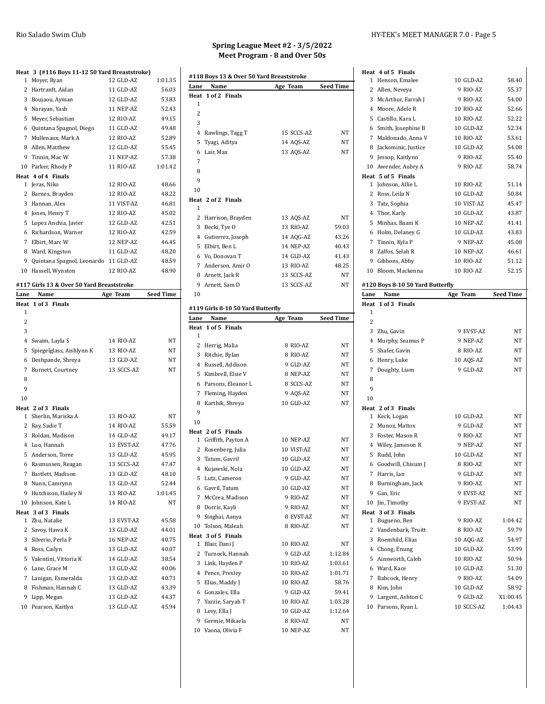| Spring League Meet #2 - 3/5/2022 |  |
|----------------------------------|--|
| Meet Program - 8 and Over 50s    |  |

### **Heat 3 (#116 Boys 11-12 50 Yard Breaststroke)** Moyer, Ryan 12 GLD-AZ 1:01.35 2 Hartranft, Aidan 11 GLD-AZ 56.03 Boujaou, Ayman 12 GLD-AZ 53.83 Narayan, Yash 11 NEP-AZ 52.43 Meyer, Sebastian 12 RIO-AZ 49.15 Quintana Spagnol, Diego 11 GLD-AZ 49.48 Mullenaux, Mark A 12 RIO-AZ 52.89 Allen, Matthew 12 GLD-AZ 55.45 Tinnin, Mac W 11 NEP-AZ 57.38 Parker, Rhody P 11 RIO-AZ 1:01.42 **Heat 4 of 4 Finals** Jeras, Niko 12 RIO-AZ 48.66 Barnes, Brayden 12 RIO-AZ 48.22 Hannan, Alex 11 VIST-AZ 46.81 Jones, Henry T 12 RIO-AZ 45.02 Lopez Anchia, Javier 12 GLD-AZ 42.51 Richardson, Warner 12 RIO-AZ 42.59 Elbirt, Marc W 12 NEP-AZ 46.45 Ward, Kingston 11 GLD-AZ 48.20 Quintana Spagnol, Leonardo 11 GLD-AZ 48.59 Hassell, Wynston 12 RIO-AZ 48.90 **#117 Girls 13 & Over 50 Yard Breaststroke Lane Name Age Team Seed Time Heat 1 of 3 Finals** 4 Swaim, Layla S 14 RIO-AZ NT Spiegelglass, Aishlynn K 13 RIO-AZ NT Deshpande, Shreya 13 GLD-AZ NT Burnett, Courtney 13 SCCS-AZ NT **Heat 2 of 3 Finals** Sherlin, Mariska A 13 RIO-AZ NT Ray, Sadie T 14 RIO-AZ 55.59 3 Roldan, Madison 14 GLD-AZ 49.17 Luo, Hannah 13 EVST-AZ 47.76 Anderson, Toree 13 GLD-AZ 45.95 Rasmussen, Reagan 13 SCCS-AZ 47.47 7 Bartlett, Madison 13 GLD-AZ 48.10 Nunn, Camrynn 13 GLD-AZ 52.44 9 Hutchison, Hailey N 13 RIO-AZ 1:01.45 10 Johnson, Kate L 14 RIO-AZ NT **Heat 3 of 3 Finals** Zhu, Natalie 13 EVST-AZ 45.58 2 Savoy, Hawa K 13 GLD-AZ 44.01 3 Silverio, Perla P 16 NEP-AZ 40.75 Ross, Cailyn 13 GLD-AZ 40.07 Valentini, Vittoria K 14 GLD-AZ 38.54 Lane, Grace M 13 GLD-AZ 40.06 Lanigan, Esmeralda 13 GLD-AZ 40.71 Fishman, Hannah C 13 GLD-AZ 43.39 Lipp, Megan 13 GLD-AZ 44.37 Pearson, Kaitlyn 13 GLD-AZ 45.94

|         | #118 Boys 13 & Over 50 Yard Breaststroke  |                       |                  |
|---------|-------------------------------------------|-----------------------|------------------|
| Lane    | Name                                      | Age Team              | <b>Seed Time</b> |
| Heat    | 1 of 2 Finals                             |                       |                  |
| 1       |                                           |                       |                  |
| 2       |                                           |                       |                  |
| 3       |                                           |                       |                  |
| 5       | 4 Rawlings, Tagg T                        | 15 SCCS-AZ            | NΤ               |
| 6       | Tyagi, Aditya<br>Lair, Max                | 14 AQS-AZ             | NΤ<br>NT         |
| 7       |                                           | 13 AQS-AZ             |                  |
| 8       |                                           |                       |                  |
| 9       |                                           |                       |                  |
| 10      |                                           |                       |                  |
|         | Heat 2 of 2 Finals                        |                       |                  |
| 1       |                                           |                       |                  |
|         | 2 Harrison, Brayden                       | 13 AQS-AZ             | NT               |
|         | 3 Becki, Tye O                            | 13 RIO-AZ             | 59.03            |
|         | 4 Gutierrez, Joseph                       | 14 AQG-AZ             | 43.26            |
|         | 5 Elbirt, Ben L                           | 14 NEP-AZ             | 40.43            |
|         | 6 Vo, Donovan T                           | 14 GLD-AZ             | 41.43            |
|         | 7 Anderson, Amir O                        | 13 RIO-AZ             | 48.25            |
|         | 8 Arnett, Jack R                          | 13 SCCS-AZ            | NΤ               |
|         | 9 Arnett, Sam D                           | 13 SCCS-AZ            | NΤ               |
| 10      |                                           |                       |                  |
|         |                                           |                       |                  |
| Lane    | #119 Girls 8-10 50 Yard Butterfly<br>Name | Age Team              | <b>Seed Time</b> |
| Heat    | 1 of 5 Finals                             |                       |                  |
| 1       |                                           |                       |                  |
|         | 2 Herrig, Malia                           | 8 RIO-AZ              | NΤ               |
|         | 3 Ritchie, Rylan                          | 8 RIO-AZ              | NΤ               |
|         | 4 Russell, Addison                        | 9 GLD-AZ              | NΤ               |
|         | 5 Kimbrell, Elsie V                       | 8 NEP-AZ              | NΤ               |
|         | 6 Parsons, Eleanor L                      | 8 SCCS-AZ             | NT               |
|         | 7 Fleming, Hayden                         | 9 AQS-AZ              | NΤ               |
| 8       | Karthik, Shreya                           | 10 GLD-AZ             | NT               |
| 9       |                                           |                       |                  |
| 10      |                                           |                       |                  |
|         | Heat 2 of 5 Finals                        |                       |                  |
|         | 1 Griffith, Payton A                      | 10 NEP-AZ             | NT               |
| 2       | Rosenberg, Julia                          | 10 VIST-AZ            | NΤ               |
| 3       | Tatum, Gavril                             | 10 GLD-AZ             | NΤ               |
| 4       | Kujawski, Nola                            | 10 GLD-AZ             | NΤ               |
| 5       | Lutz, Cameron                             | 9 GLD-AZ              | NT               |
| 6       | Gavril, Tatum                             |                       | NT               |
|         |                                           | 10 GLD-AZ             |                  |
| 7       | McCrea, Madison                           | 9 RIO-AZ              | NΤ               |
|         | 8 Dorris, Kayli                           | 9 RIO-AZ              | <b>NT</b>        |
| 9       | Singhai, Aanya                            | 8 EVST-AZ             | NΤ               |
| 10      | Tolson, Maleah                            | 8 RIO-AZ              | NΤ               |
| Heat    | 3 of 5 Finals                             |                       |                  |
| 1       | Blair, Dani J                             | 10 RIO-AZ             | NΤ               |
| 2       | Turnock, Hannah                           | 9 GLD-AZ              | 1:12.84          |
| 3       | Link, Hayden P                            | 10 RIO-AZ             | 1:03.61          |
| 4       | Pence, Presley                            | 10 RIO-AZ             | 1:01.71          |
| 5       | Elias, Maddy J                            | 10 RIO-AZ             | 58.76            |
| 6       | Gonzales, Ella                            | 9 GLD-AZ              | 59.41            |
|         | 7 Yazzie, Saryah T                        | 10 RIO-AZ             | 1:03.28          |
| 8       | Levy, Ella J                              | 10 GLD-AZ             | 1:12.64          |
| 9<br>10 | Germie, Mikaela<br>Vaona, Olivia F        | 8 RIO-AZ<br>10 NEP-AZ | NΤ<br>NΤ         |

#### Rio Salado Swim Club HY-TEK's MEET MANAGER 7.0 - Page 5

| Heat 4 of 5 Finals                        |                        |                     |
|-------------------------------------------|------------------------|---------------------|
| 1 Henson, Emalee                          | 10 GLD-AZ              | 58.40               |
| 2 Allen, Neveya                           | 9 RIO-AZ               | 55.37               |
| 3 McArthur, Farrah J                      | 9 RIO-AZ               | 54.00               |
| 4 Moore, Adele R                          | 10 RIO-AZ              | 52.66               |
| 5 Castillo, Kara L                        | 10 RIO-AZ              | 52.22               |
| 6 Smith, Josephine B                      | 10 GLD-AZ              | 52.34               |
| 7 Maldonado, Anna V                       | 10 RIO-AZ              | 53.61               |
| 8 Jackominic, Justice                     | 10 GLD-AZ              | 54.08               |
| 9 Jessop, Kaitlynn                        | 9 RIO-AZ               | 55.40               |
| 10 Awender, Aubry A                       | 9 RIO-AZ               | 58.74               |
| Heat 5 of 5 Finals                        |                        |                     |
| 1 Johnson, Allie L                        | 10 RIO-AZ              | 51.14               |
| 2 Ross, Leila N                           | 10 GLD-AZ              | 50.84               |
| 3 Tatz, Sophia                            | 10 VIST-AZ             | 45.47               |
| 4 Thor, Karly                             | 10 GLD-AZ              | 43.87               |
| 5 Minhas, Baani K                         | 10 NEP-AZ              | 41.41               |
| 6 Holm, Delaney G                         | 10 GLD-AZ              | 43.83               |
| 7 Tinnin, Kyla P                          | 9 NEP-AZ               | 45.08               |
| 8 Zaffos, Selah R                         | 10 NEP-AZ              | 46.61               |
| 9 Gibbons, Abby                           | 10 RIO-AZ              | 51.12               |
| 10 Bloom, Mackenna                        | 10 RIO-AZ              | 52.15               |
|                                           |                        |                     |
| #120 Boys 8-10 50 Yard Butterfly          |                        |                     |
| Lane<br>Name                              | Age Team               | <b>Seed Time</b>    |
| Heat 1 of 3 Finals                        |                        |                     |
| 1                                         |                        |                     |
| 2                                         |                        |                     |
| 3 Zhu, Gavin                              | 9 EVST-AZ              | NΤ                  |
|                                           |                        |                     |
| 4 Murphy, Seamus P                        | 9 NEP-AZ               | NΤ                  |
| 5 Shafer, Gavin                           | 8 RIO-AZ               | NΤ                  |
| 6 Henry, Luke                             | 10 AQS-AZ              | NT                  |
| Doughty, Liam<br>7                        | 9 GLD-AZ               | NΤ                  |
| 8                                         |                        |                     |
| 9                                         |                        |                     |
| 10                                        |                        |                     |
| Heat 2 of 3 Finals                        |                        |                     |
| 1 Keck, Logan                             | 10 GLD-AZ              | NΤ                  |
| 2 Munoz, Mattox                           | 9 GLD-AZ               | NΤ                  |
| 3 Foster, Mason R                         | 9 RIO-AZ               | NΤ                  |
| 4 Wiley, Jameson R                        | 9 NEP-AZ               | NΤ                  |
| 5 Rudd, John                              | 10 GLD-AZ              | NT                  |
| 6<br>Goodwill, Chisum J                   | 8 RIO-AZ               | NT                  |
| 7 Harris, Ian                             | 9 GLD-AZ               | NT                  |
| 8 Burningham, Jack                        | 9 RIO-AZ               | NΤ                  |
| 9<br>Gan, Eric                            | 9 EVST-AZ              | NT                  |
| 10 Jin, Timothy                           | 9 EVST-AZ              | <b>NT</b>           |
| Heat 3 of 3 Finals                        |                        |                     |
| 1 Bugueno, Ben                            | 9 RIO-AZ               | 1:04.42             |
| 2 Vandenbark, Truitt                      | 8 RIO-AZ               | 59.79               |
| 3 Roemhild, Elias                         | 10 AQG-AZ              | 54.97               |
|                                           | 10 GLD-AZ              | 53.99               |
| 4 Chong, Enung                            | 10 RIO-AZ              |                     |
| 5 Ainsworth, Caleb                        |                        | 50.94               |
| 6 Ward, Kace                              | 10 GLD-AZ              | 51.30               |
| 7 Babcock, Henry                          | 9 RIO-AZ               | 54.09               |
| 8 Kim, John                               | 10 GLD-AZ              | 58.92               |
| 9 Largent, Ashton C<br>10 Parsons, Ryan L | 9 GLD-AZ<br>10 SCCS-AZ | X1:00.45<br>1:04.43 |